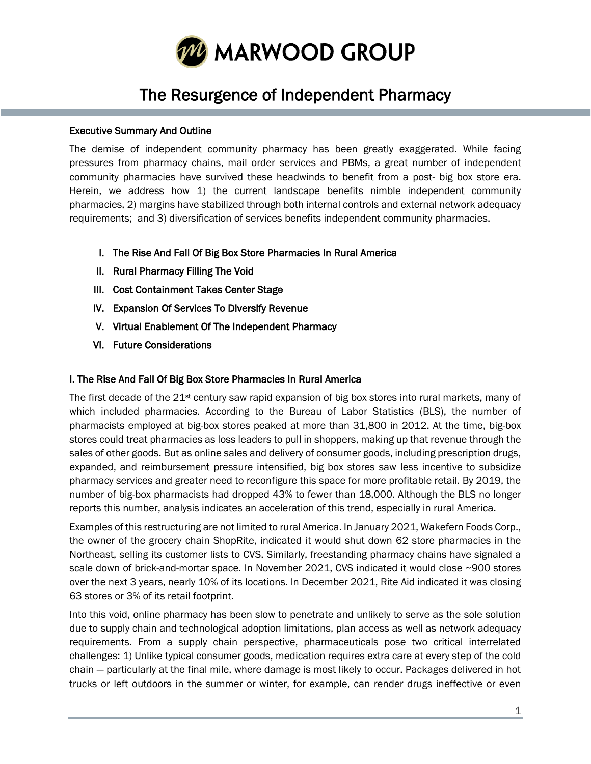

# The Resurgence of Independent Pharmacy

# Executive Summary And Outline

The demise of independent community pharmacy has been greatly exaggerated. While facing pressures from pharmacy chains, mail order services and PBMs, a great number of independent community pharmacies have survived these headwinds to benefit from a post- big box store era. Herein, we address how 1) the current landscape benefits nimble independent community pharmacies, 2) margins have stabilized through both internal controls and external network adequacy requirements; and 3) diversification of services benefits independent community pharmacies.

- I. The Rise And Fall Of Big Box Store Pharmacies In Rural America
- II. Rural Pharmacy Filling The Void
- III. Cost Containment Takes Center Stage
- IV. Expansion Of Services To Diversify Revenue
- V. Virtual Enablement Of The Independent Pharmacy
- VI. Future Considerations

#### I. The Rise And Fall Of Big Box Store Pharmacies In Rural America

The first decade of the 21<sup>st</sup> century saw rapid expansion of big box stores into rural markets, many of which included pharmacies. According to the Bureau of Labor Statistics (BLS), the number of pharmacists employed at big-box stores peaked at more than 31,800 in 2012. At the time, big-box stores could treat pharmacies as loss leaders to pull in shoppers, making up that revenue through the sales of other goods. But as online sales and delivery of consumer goods, including prescription drugs, expanded, and reimbursement pressure intensified, big box stores saw less incentive to subsidize pharmacy services and greater need to reconfigure this space for more profitable retail. By 2019, the number of big-box pharmacists had dropped 43% to fewer than 18,000. Although the BLS no longer reports this number, analysis indicates an acceleration of this trend, especially in rural America.

Examples of this restructuring are not limited to rural America. In January 2021, Wakefern Foods Corp., the owner of the grocery chain ShopRite, indicated it would shut down 62 store pharmacies in the Northeast, selling its customer lists to CVS. Similarly, freestanding pharmacy chains have signaled a scale down of brick-and-mortar space. In November 2021, CVS indicated it would close ~900 stores over the next 3 years, nearly 10% of its locations. In December 2021, Rite Aid indicated it was closing 63 stores or 3% of its retail footprint.

Into this void, online pharmacy has been slow to penetrate and unlikely to serve as the sole solution due to supply chain and technological adoption limitations, plan access as well as network adequacy requirements. From a supply chain perspective, pharmaceuticals pose two critical interrelated challenges: 1) Unlike typical consumer goods, medication requires extra care at every step of the cold chain — particularly at the final mile, where damage is most likely to occur. Packages delivered in hot trucks or left outdoors in the summer or winter, for example, can render drugs ineffective or even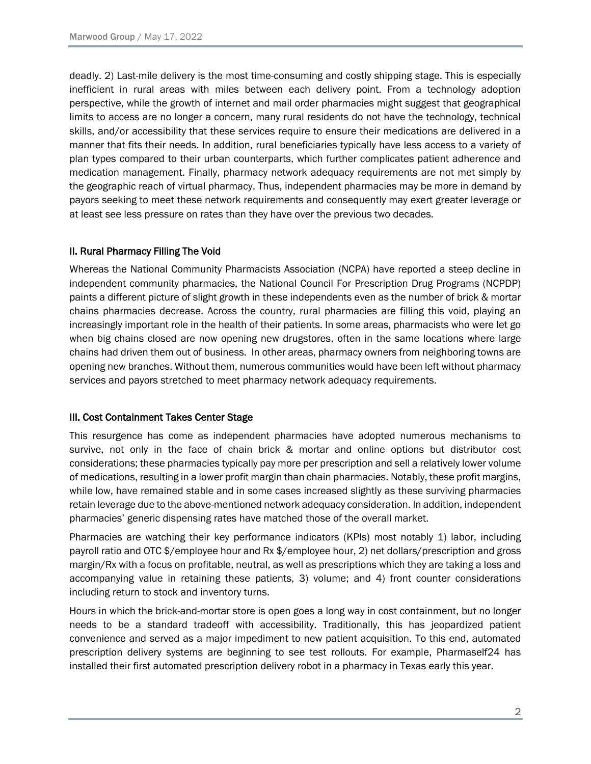deadly. 2) Last-mile delivery is the most time-consuming and costly shipping stage. This is especially inefficient in rural areas with miles between each delivery point. From a technology adoption perspective, while the growth of internet and mail order pharmacies might suggest that geographical limits to access are no longer a concern, many rural residents do not have the technology, technical skills, and/or accessibility that these services require to ensure their medications are delivered in a manner that fits their needs. In addition, rural beneficiaries typically have less access to a variety of plan types compared to their urban counterparts, which further complicates patient adherence and medication management. Finally, pharmacy network adequacy requirements are not met simply by the geographic reach of virtual pharmacy. Thus, independent pharmacies may be more in demand by payors seeking to meet these network requirements and consequently may exert greater leverage or at least see less pressure on rates than they have over the previous two decades.

# II. Rural Pharmacy Filling The Void

Whereas the National Community Pharmacists Association (NCPA) have reported a steep decline in independent community pharmacies, the National Council For Prescription Drug Programs (NCPDP) paints a different picture of slight growth in these independents even as the number of brick & mortar chains pharmacies decrease. Across the country, rural pharmacies are filling this void, playing an increasingly important role in the health of their patients. In some areas, pharmacists who were let go when big chains closed are now opening new drugstores, often in the same locations where large chains had driven them out of business. In other areas, pharmacy owners from neighboring towns are opening new branches. Without them, numerous communities would have been left without pharmacy services and payors stretched to meet pharmacy network adequacy requirements.

# III. Cost Containment Takes Center Stage

This resurgence has come as independent pharmacies have adopted numerous mechanisms to survive, not only in the face of chain brick & mortar and online options but distributor cost considerations; these pharmacies typically pay more per prescription and sell a relatively lower volume of medications, resulting in a lower profit margin than chain pharmacies. Notably, these profit margins, while low, have remained stable and in some cases increased slightly as these surviving pharmacies retain leverage due to the above-mentioned network adequacy consideration. In addition, independent pharmacies' generic dispensing rates have matched those of the overall market.

Pharmacies are watching their key performance indicators (KPIs) most notably 1) labor, including payroll ratio and OTC \$/employee hour and Rx \$/employee hour, 2) net dollars/prescription and gross margin/Rx with a focus on profitable, neutral, as well as prescriptions which they are taking a loss and accompanying value in retaining these patients, 3) volume; and 4) front counter considerations including return to stock and inventory turns.

Hours in which the brick-and-mortar store is open goes a long way in cost containment, but no longer needs to be a standard tradeoff with accessibility. Traditionally, this has jeopardized patient convenience and served as a major impediment to new patient acquisition. To this end, automated prescription delivery systems are beginning to see test rollouts. For example, Pharmaself24 has installed their first automated prescription delivery robot in a pharmacy in Texas early this year.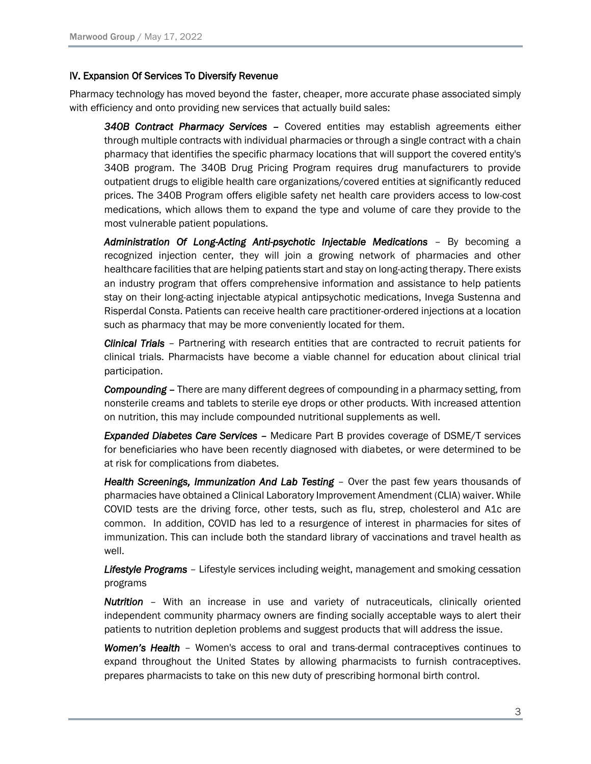#### IV. Expansion Of Services To Diversify Revenue

Pharmacy technology has moved beyond the faster, cheaper, more accurate phase associated simply with efficiency and onto providing new services that actually build sales:

*340B Contract Pharmacy Services –* Covered entities may establish agreements either through multiple contracts with individual pharmacies or through a single contract with a chain pharmacy that identifies the specific pharmacy locations that will support the covered entity's 340B program. The 340B Drug Pricing Program requires drug manufacturers to provide outpatient drugs to eligible health care organizations/covered entities at significantly reduced prices. The 340B Program offers eligible safety net health care providers access to low-cost medications, which allows them to expand the type and volume of care they provide to the most vulnerable patient populations.

*Administration Of Long-Acting Anti-psychotic Injectable Medications* – By becoming a recognized injection center, they will join a growing network of pharmacies and other healthcare facilities that are helping patients start and stay on long-acting therapy. There exists an industry program that offers comprehensive information and assistance to help patients stay on their long-acting injectable atypical antipsychotic medications, Invega Sustenna and Risperdal Consta. Patients can receive health care practitioner-ordered injections at a location such as pharmacy that may be more conveniently located for them.

*Clinical Trials* – Partnering with research entities that are contracted to recruit patients for clinical trials. Pharmacists have become a viable channel for education about clinical trial participation.

**Compounding** – There are many different degrees of compounding in a pharmacy setting, from nonsterile creams and tablets to sterile eye drops or other products. With increased attention on nutrition, this may include compounded nutritional supplements as well.

*Expanded Diabetes Care Services –* Medicare Part B provides coverage of DSME/T services for beneficiaries who have been recently diagnosed with diabetes, or were determined to be at risk for complications from diabetes.

*Health Screenings, Immunization And Lab Testing* – Over the past few years thousands of pharmacies have obtained a Clinical Laboratory Improvement Amendment (CLIA) waiver. While COVID tests are the driving force, other tests, such as flu, strep, cholesterol and A1c are common. In addition, COVID has led to a resurgence of interest in pharmacies for sites of immunization. This can include both the standard library of vaccinations and travel health as well.

*Lifestyle Programs* – Lifestyle services including weight, management and smoking cessation programs

*Nutrition* – With an increase in use and variety of nutraceuticals, clinically oriented independent community pharmacy owners are finding socially acceptable ways to alert their patients to nutrition depletion problems and suggest products that will address the issue.

*Women's Health* – Women's access to oral and trans-dermal contraceptives continues to expand throughout the United States by allowing pharmacists to furnish contraceptives. prepares pharmacists to take on this new duty of prescribing hormonal birth control.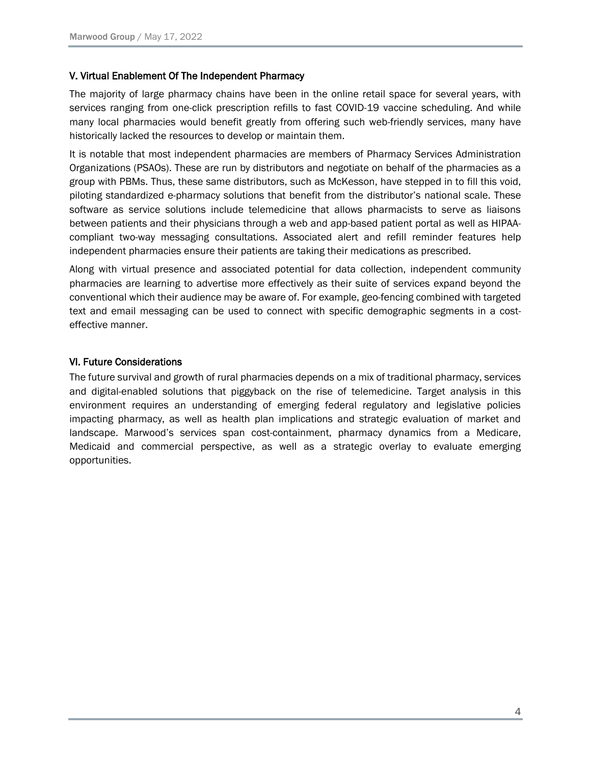# V. Virtual Enablement Of The Independent Pharmacy

The majority of large pharmacy chains have been in the online retail space for several years, with services ranging from one-click prescription refills to fast COVID-19 vaccine scheduling. And while many local pharmacies would benefit greatly from offering such web-friendly services, many have historically lacked the resources to develop or maintain them.

It is notable that most independent pharmacies are members of Pharmacy Services Administration Organizations (PSAOs). These are run by distributors and negotiate on behalf of the pharmacies as a group with PBMs. Thus, these same distributors, such as McKesson, have stepped in to fill this void, piloting standardized e-pharmacy solutions that benefit from the distributor's national scale. These software as service solutions include telemedicine that allows pharmacists to serve as liaisons between patients and their physicians through a web and app-based patient portal as well as HIPAAcompliant two-way messaging consultations. Associated alert and refill reminder features help independent pharmacies ensure their patients are taking their medications as prescribed.

Along with virtual presence and associated potential for data collection, independent community pharmacies are learning to advertise more effectively as their suite of services expand beyond the conventional which their audience may be aware of. For example, geo-fencing combined with targeted text and email messaging can be used to connect with specific demographic segments in a costeffective manner.

## VI. Future Considerations

The future survival and growth of rural pharmacies depends on a mix of traditional pharmacy, services and digital-enabled solutions that piggyback on the rise of telemedicine. Target analysis in this environment requires an understanding of emerging federal regulatory and legislative policies impacting pharmacy, as well as health plan implications and strategic evaluation of market and landscape. Marwood's services span cost-containment, pharmacy dynamics from a Medicare, Medicaid and commercial perspective, as well as a strategic overlay to evaluate emerging opportunities.